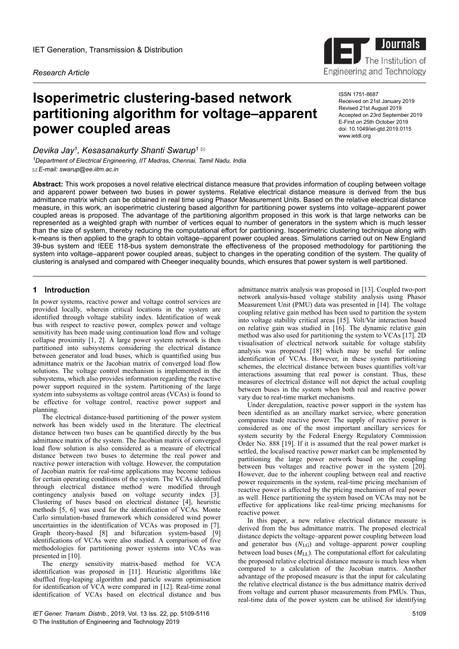*Research Article*

# **Isoperimetric clustering-based network partitioning algorithm for voltage–apparent power coupled areas**

ISSN 1751-8687 Received on 21st January 2019 Revised 21st August 2019 Accepted on 23rd September 2019 E-First on 25th October 2019 doi: 10.1049/iet-gtd.2019.0115 www.ietdl.org

Journals<br>The Institution

Engineering and Technology

The Institution of

*Devika Jay<sup>1</sup> , Kesasanakurty Shanti Swarup<sup>1</sup> <sup>1</sup>Department of Electrical Engineering, IIT Madras, Chennai, Tamil Nadu, India E-mail: swarup@ee.iitm.ac.in*

**Abstract:** This work proposes a novel relative electrical distance measure that provides information of coupling between voltage and apparent power between two buses in power systems. Relative electrical distance measure is derived from the bus admittance matrix which can be obtained in real time using Phasor Measurement Units. Based on the relative electrical distance measure, in this work, an isoperimetric clustering based algorithm for partitioning power systems into voltage–apparent power coupled areas is proposed. The advantage of the partitioning algorithm proposed in this work is that large networks can be represented as a weighted graph with number of vertices equal to number of generators in the system which is much lesser than the size of system, thereby reducing the computational effort for partitioning. Isoperimetric clustering technique along with k-means is then applied to the graph to obtain voltage–apparent power coupled areas. Simulations carried out on New England 39-bus system and IEEE 118-bus system demonstrate the effectiveness of the proposed methodology for partitioning the system into voltage–apparent power coupled areas, subject to changes in the operating condition of the system. The quality of clustering is analysed and compared with Cheeger inequality bounds, which ensures that power system is well partitioned.

## **1** Introduction

In power systems, reactive power and voltage control services are provided locally, wherein critical locations in the system are identified through voltage stability index. Identification of weak bus with respect to reactive power, complex power and voltage sensitivity has been made using continuation load flow and voltage collapse proximity [1, 2]. A large power system network is then partitioned into subsystems considering the electrical distance between generator and load buses, which is quantified using bus admittance matrix or the Jacobian matrix of converged load flow solutions. The voltage control mechanism is implemented in the subsystems, which also provides information regarding the reactive power support required in the system. Partitioning of the large system into subsystems as voltage control areas (VCAs) is found to be effective for voltage control, reactive power support and planning.

The electrical distance-based partitioning of the power system network has been widely used in the literature. The electrical distance between two buses can be quantified directly by the bus admittance matrix of the system. The Jacobian matrix of converged load flow solution is also considered as a measure of electrical distance between two buses to determine the real power and reactive power interaction with voltage. However, the computation of Jacobian matrix for real-time applications may become tedious for certain operating conditions of the system. The VCAs identified through electrical distance method were modified through contingency analysis based on voltage security index [3]. Clustering of buses based on electrical distance [4], heuristic methods [5, 6] was used for the identification of VCAs. Monte Carlo simulation-based framework which considered wind power uncertainties in the identification of VCAs was proposed in [7]. Graph theory-based [8] and bifurcation system-based [9] identifications of VCAs were also studied. A comparison of five methodologies for partitioning power systems into VCAs was presented in [10].

The energy sensitivity matrix-based method for VCA identification was proposed in [11]. Heuristic algorithms like shuffled frog-leaping algorithm and particle swarm optimisation for identification of VCA were compared in [12]. Real-time zonal identification of VCAs based on electrical distance and bus

admittance matrix analysis was proposed in [13]. Coupled two-port network analysis-based voltage stability analysis using Phasor Measurement Unit (PMU) data was presented in [14]. The voltage coupling relative gain method has been used to partition the system into voltage stability critical areas [15]. Volt/Var interaction based on relative gain was studied in [16]. The dynamic relative gain method was also used for partitioning the system to VCAs [17]. 2D visualisation of electrical network suitable for voltage stability analysis was proposed [18] which may be useful for online identification of VCAs. However, in these system partitioning schemes, the electrical distance between buses quantifies volt/var interactions assuming that real power is constant. Thus, these measures of electrical distance will not depict the actual coupling between buses in the system when both real and reactive power vary due to real-time market mechanisms.

Under deregulation, reactive power support in the system has been identified as an ancillary market service, where generation companies trade reactive power. The supply of reactive power is considered as one of the most important ancillary services for system security by the Federal Energy Regulatory Commission Order No. 888 [19]. If it is assumed that the real power market is settled, the localised reactive power market can be implemented by partitioning the large power network based on the coupling between bus voltages and reactive power in the system [20]. However, due to the inherent coupling between real and reactive power requirements in the system, real-time pricing mechanism of reactive power is affected by the pricing mechanism of real power as well. Hence partitioning the system based on VCAs may not be effective for applications like real-time pricing mechanisms for reactive power.

In this paper, a new relative electrical distance measure is derived from the bus admittance matrix. The proposed electrical distance depicts the voltage–apparent power coupling between load and generator bus (*N*LG) and voltage–apparent power coupling between load buses  $(M_{\text{LL}})$ . The computational effort for calculating the proposed relative electrical distance measure is much less when compared to a calculation of the Jacobian matrix. Another advantage of the proposed measure is that the input for calculating the relative electrical distance is the bus admittance matrix derived from voltage and current phasor measurements from PMUs. Thus, real-time data of the power system can be utilised for identifying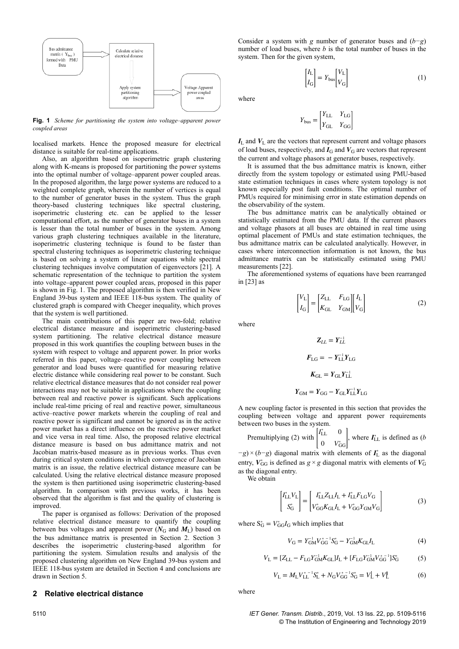

**Fig. 1** *Scheme for partitioning the system into voltage–apparent power coupled areas*

localised markets. Hence the proposed measure for electrical distance is suitable for real-time applications.

Also, an algorithm based on isoperimetric graph clustering along with K-means is proposed for partitioning the power systems into the optimal number of voltage–apparent power coupled areas. In the proposed algorithm, the large power systems are reduced to a weighted complete graph, wherein the number of vertices is equal to the number of generator buses in the system. Thus the graph theory-based clustering techniques like spectral clustering, isoperimetric clustering etc. can be applied to the lesser computational effort, as the number of generator buses in a system is lesser than the total number of buses in the system. Among various graph clustering techniques available in the literature, isoperimetric clustering technique is found to be faster than spectral clustering techniques as isoperimetric clustering technique is based on solving a system of linear equations while spectral clustering techniques involve computation of eigenvectors [21]. A schematic representation of the technique to partition the system into voltage–apparent power coupled areas, proposed in this paper is shown in Fig. 1. The proposed algorithm is then verified in New England 39-bus system and IEEE 118-bus system. The quality of clustered graph is compared with Cheeger inequality, which proves that the system is well partitioned.

The main contributions of this paper are two-fold; relative electrical distance measure and isoperimetric clustering-based system partitioning. The relative electrical distance measure proposed in this work quantifies the coupling between buses in the system with respect to voltage and apparent power. In prior works referred in this paper, voltage–reactive power coupling between generator and load buses were quantified for measuring relative electric distance while considering real power to be constant. Such relative electrical distance measures that do not consider real power interactions may not be suitable in applications where the coupling between real and reactive power is significant. Such applications include real-time pricing of real and reactive power, simultaneous active–reactive power markets wherein the coupling of real and reactive power is significant and cannot be ignored as in the active power market has a direct influence on the reactive power market and vice versa in real time. Also, the proposed relative electrical distance measure is based on bus admittance matrix and not Jacobian matrix-based measure as in previous works. Thus even during critical system conditions in which convergence of Jacobian matrix is an issue, the relative electrical distance measure can be calculated. Using the relative electrical distance measure proposed the system is then partitioned using isoperimetric clustering-based algorithm. In comparison with previous works, it has been observed that the algorithm is fast and the quality of clustering is improved.

The paper is organised as follows: Derivation of the proposed relative electrical distance measure to quantify the coupling between bus voltages and apparent power ( $N_G$  and  $M_L$ ) based on the bus admittance matrix is presented in Section 2. Section 3 describes the isoperimetric clustering-based algorithm for partitioning the system. Simulation results and analysis of the proposed clustering algorithm on New England 39-bus system and IEEE 118-bus system are detailed in Section 4 and conclusions are drawn in Section 5.

## **2** Relative electrical distance

Consider a system with *g* number of generator buses and (*b−g*) number of load buses, where *b* is the total number of buses in the system. Then for the given system,

*V*<sup>G</sup>

(1)

 $I_{\rm L}$ 

where

$$
Y_\text{bus} = \begin{bmatrix} Y_\text{LL} & Y_\text{LG} \\ Y_\text{GL} & Y_\text{GG} \end{bmatrix}
$$

 $\begin{bmatrix} I_{\rm L} \\ I_{\rm G} \end{bmatrix} = Y_{\rm bus} \begin{bmatrix} V_{\rm L} \\ V_{\rm G} \end{bmatrix}$ 

 $I_L$  and  $V_L$  are the vectors that represent current and voltage phasors of load buses, respectively, and  $I<sub>G</sub>$  and  $V<sub>G</sub>$  are vectors that represent the current and voltage phasors at generator buses, respectively.

It is assumed that the bus admittance matrix is known, either directly from the system topology or estimated using PMU-based state estimation techniques in cases where system topology is not known especially post fault conditions. The optimal number of PMUs required for minimising error in state estimation depends on the observability of the system.

The bus admittance matrix can be analytically obtained or statistically estimated from the PMU data. If the current phasors and voltage phasors at all buses are obtained in real time using optimal placement of PMUs and state estimation techniques, the bus admittance matrix can be calculated analytically. However, in cases where interconnection information is not known, the bus admittance matrix can be statistically estimated using PMU measurements [22].

The aforementioned systems of equations have been rearranged in [23] as

$$
\begin{bmatrix} V_{\rm L} \\ I_{\rm G} \end{bmatrix} = \begin{bmatrix} Z_{\rm LL} & F_{\rm LG} \\ K_{\rm GL} & Y_{\rm GM} \end{bmatrix} \begin{bmatrix} I_{\rm L} \\ V_{\rm G} \end{bmatrix} \tag{2}
$$

where

$$
Z_{LL} = Y_{LL}^{-1}
$$

$$
F_{LG} = -Y_{LL}^{-1}Y_{LG}
$$

$$
K_{GL} = Y_{GL}Y_{LL}^{-1}
$$

 $Y_{\text{GM}} = Y_{\text{GG}} - Y_{\text{GL}} Y_{\text{LL}}^{-1} Y_{\text{LG}}$ 

A new coupling factor is presented in this section that provides the coupling between voltage and apparent power requirements between two buses in the system.

Premultiplying (2) with 
$$
\begin{bmatrix} I_{\text{LL}}^* & 0 \\ 0 & V_{\text{GG}}^* \end{bmatrix}
$$
, where  $I_{\text{LL}}^*$  is defined as (*b*

*−g*) × (*b−g*) diagonal matrix with elements of  $I_L^*$  as the diagonal entry,  $V_{GG}^*$  is defined as  $g \times g$  diagonal matrix with elements of  $V_G^*$ as the diagonal entry.

We obtain

$$
\begin{bmatrix} I_{\rm LL}^* V_{\rm L} \\ S_{\rm G}^* \end{bmatrix} = \begin{bmatrix} I_{\rm LL}^* Z_{\rm LL} I_{\rm L} + I_{\rm LL}^* F_{\rm LG} V_{\rm G} \\ V_{\rm GG}^* K_{\rm GL} I_{\rm L} + V_{\rm GG}^* Y_{\rm GM} V_{\rm G} \end{bmatrix}
$$
(3)

where  $S_G^* = V_{GG}^* I_G$  which implies that

$$
V_{\rm G} = Y_{\rm GM}^{-1} V_{\rm GG}^{* - 1} S_{\rm G}^* - Y_{\rm GM}^{-1} K_{\rm GL} I_{\rm L}
$$
 (4)

$$
V_{\rm L} = [Z_{\rm LL} - F_{\rm LG} Y_{\rm GM}^{-1} K_{\rm GL}] I_{\rm L} + [F_{\rm LG} Y_{\rm GM}^{-1} V_{\rm GG}^*^{-1}] S_{\rm G}^* \tag{5}
$$

$$
V_{\rm L} = M_{\rm L} V_{\rm LL}^{* - 1} S_{\rm L}^* + N_{\rm G} V_{\rm GG}^{* - 1} S_{\rm G}^* = V_{\rm L}^{\dagger} + V_{\rm L}^{\dagger} \tag{6}
$$

where

5110 *IET Gener. Transm. Distrib.*, 2019, Vol. 13 Iss. 22, pp. 5109-5116 © The Institution of Engineering and Technology 2019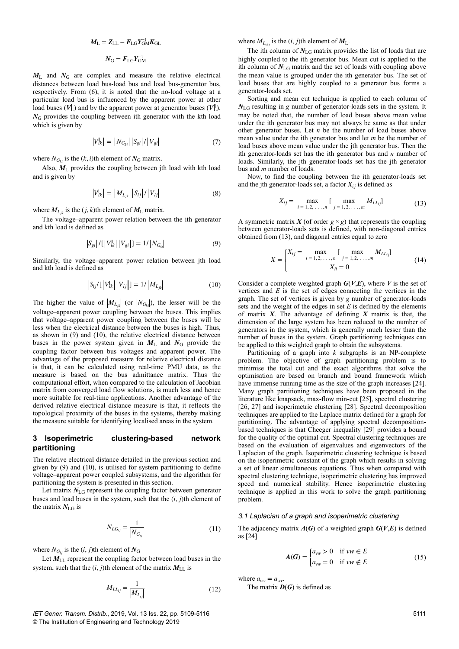$$
M_{\rm L} = Z_{\rm LL} - F_{\rm LG} Y_{\rm GM}^{-1} K_{\rm GL}
$$

$$
N_{\rm G} = F_{\rm LG} Y_{\rm GM}^{-1}
$$

 $M<sub>L</sub>$  and  $N<sub>G</sub>$  are complex and measure the relative electrical distances between load bus-load bus and load bus-generator bus, respectively. From (6), it is noted that the no-load voltage at a particular load bus is influenced by the apparent power at other load buses  $(V_1)$  and by the apparent power at generator buses  $(V_1)$ .  $N<sub>G</sub>$  provides the coupling between ith generator with the kth load which is given by

$$
|V_{lk}^{\parallel}| = |N_{G_{ki}}| |S_{gi}| / |V_{gi}| \tag{7}
$$

where  $N_{G_{ki}}$  is the  $(k, i)$ th element of  $N_G$  matrix.

Also,  $M_{\text{L}}$  provides the coupling between jth load with kth load and is given by

$$
|V_{lk}| = |M_{L_{jk}}| |S_{lj}| / |V_{lj}|
$$
 (8)

where  $M_{L_{ik}}$  is the  $(j, k)$ th element of  $M_L$  matrix.

The voltage–apparent power relation between the ith generator and kth load is defined as

$$
|S_{gi}| / [ |V_{lk}||V_{gi}| ] = 1 / |N_{G_{ki}}|
$$
 (9)

Similarly, the voltage–apparent power relation between jth load and kth load is defined as

$$
|S_{lj}/[|V_{lk}| |V_{lj}|] = 1/|M_{L_{jk}}|
$$
 (10)

The higher the value of  $|M_{L_{ik}}|$  (or  $|N_{G_{ki}}|$ ), the lesser will be the voltage–apparent power coupling between the buses. This implies that voltage–apparent power coupling between the buses will be less when the electrical distance between the buses is high. Thus, as shown in (9) and (10), the relative electrical distance between buses in the power system given in  $M<sub>L</sub>$  and  $N<sub>G</sub>$  provide the coupling factor between bus voltages and apparent power. The advantage of the proposed measure for relative electrical distance is that, it can be calculated using real-time PMU data, as the measure is based on the bus admittance matrix. Thus the computational effort, when compared to the calculation of Jacobian matrix from converged load flow solutions, is much less and hence more suitable for real-time applications. Another advantage of the derived relative electrical distance measure is that, it reflects the topological proximity of the buses in the systems, thereby making the measure suitable for identifying localised areas in the system.

## **3Isoperimetric clustering-based network partitioning**

The relative electrical distance detailed in the previous section and given by (9) and (10), is utilised for system partitioning to define voltage–apparent power coupled subsystems, and the algorithm for partitioning the system is presented in this section.

Let matrix  $N_{\text{LG}}$  represent the coupling factor between generator buses and load buses in the system, such that the (*i*, *j*)th element of the matrix  $N_{\rm LG}$  is

$$
N_{LG_{ij}} = \frac{1}{\left| N_{G_{ij}} \right|} \tag{11}
$$

where  $N_{G_i}$  is the  $(i, j)$ th element of  $N_G$ 

Let  $M_{LL}$  represent the coupling factor between load buses in the system, such that the  $(i, j)$ th element of the matrix  $M_{LL}$  is

$$
M_{LL_{ij}} = \frac{1}{|M_{L_{ij}}|}
$$
 (12)

*IET Gener. Transm. Distrib.*, 2019, Vol. 13 Iss. 22, pp. 5109-5116 © The Institution of Engineering and Technology 2019

where  $M_{L_{ikj}}$  is the  $(i, j)$ th element of  $M_L$ .

The ith column of  $N_{LG}$  matrix provides the list of loads that are highly coupled to the ith generator bus. Mean cut is applied to the ith column of  $N_{LG}$  matrix and the set of loads with coupling above the mean value is grouped under the ith generator bus. The set of load buses that are highly coupled to a generator bus forms a generator-loads set.

Sorting and mean cut technique is applied to each column of *N*LG resulting in *g* number of generator-loads sets in the system. It may be noted that, the number of load buses above mean value under the ith generator bus may not always be same as that under other generator buses. Let *n* be the number of load buses above mean value under the ith generator bus and let *m* be the number of load buses above mean value under the jth generator bus. Then the ith generator-loads set has the ith generator bus and *n* number of loads. Similarly, the jth generator-loads set has the jth generator bus and *m* number of loads.

Now, to find the coupling between the ith generator-loads set and the jth generator-loads set, a factor  $X_{ij}$  is defined as

$$
X_{ij} = \max_{i=1,2,\dots,n} \left[ \max_{j=1,2,\dots,m} M_{LL_{ij}} \right]
$$
 (13)

A symmetric matrix  $X$  (of order  $g \times g$ ) that represents the coupling between generator-loads sets is defined, with non-diagonal entries obtained from (13), and diagonal entries equal to zero

$$
X = \begin{cases} X_{ij} = \max_{i=1,2,\dots,n} \left[ \max_{j=1,2,\dots,m} M_{LL_{ij}} \right] \\ X_{ii} = 0 \end{cases}
$$
(14)

Consider a complete weighted graph  $G(V,E)$ , where *V* is the set of vertices and *E* is the set of edges connecting the vertices in the graph. The set of vertices is given by *g* number of generator-loads sets and the weight of the edges in set *E* is defined by the elements of matrix *X*. The advantage of defining *X* matrix is that, the dimension of the large system has been reduced to the number of generators in the system, which is generally much lesser than the number of buses in the system. Graph partitioning techniques can be applied to this weighted graph to obtain the subsystems.

Partitioning of a graph into *k* subgraphs is an NP-complete problem. The objective of graph partitioning problem is to minimise the total cut and the exact algorithms that solve the optimisation are based on branch and bound framework which have immense running time as the size of the graph increases [24]. Many graph partitioning techniques have been proposed in the literature like knapsack, max-flow min-cut [25], spectral clustering [26, 27] and isoperimetric clustering [28]. Spectral decomposition techniques are applied to the Laplace matrix defined for a graph for partitioning. The advantage of applying spectral decompositionbased techniques is that Cheeger inequality [29] provides a bound for the quality of the optimal cut. Spectral clustering techniques are based on the evaluation of eigenvalues and eigenvectors of the Laplacian of the graph. Isoperimetric clustering technique is based on the isoperimetric constant of the graph which results in solving a set of linear simultaneous equations. Thus when compared with spectral clustering technique, isoperimetric clustering has improved speed and numerical stability. Hence isoperimetric clustering technique is applied in this work to solve the graph partitioning problem.

#### *3.1 Laplacian of a graph and isoperimetric clustering*

The adjacency matrix  $A(G)$  of a weighted graph  $G(V,E)$  is defined as [24]

$$
A(G) = \begin{cases} a_{vw} > 0 & \text{if } vw \in E \\ a_{vw} = 0 & \text{if } vw \notin E \end{cases}
$$
 (15)

where  $a_{vw} = a_{wv}$ .

The matrix *D*(*G*) is defined as

5111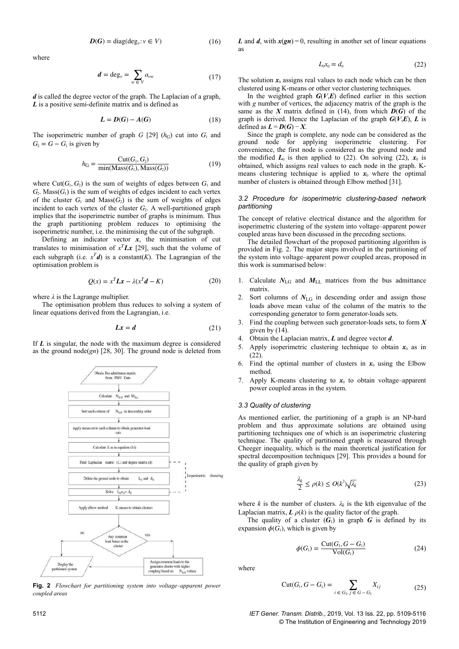$$
D(G) = \text{diag}(\text{deg}_{v}: v \in V) \tag{16}
$$

where

$$
d = \deg_v = \sum_{w \in V} a_{vw} \tag{17}
$$

*d* is called the degree vector of the graph. The Laplacian of a graph, *L* is a positive semi-definite matrix and is defined as

$$
L = D(G) - A(G) \tag{18}
$$

The isoperimetric number of graph  $G$  [29] ( $h_G$ ) cut into  $G_1$  and  $G_2 = G - G_1$  is given by

$$
h_{\mathcal{G}} = \frac{\text{Cut}(G_1, G_2)}{\min(\text{Mass}(G_1), \text{Mass}(G_2))}
$$
(19)

where Cut( $G_1, G_2$ ) is the sum of weights of edges between  $G_1$  and  $G_2$ . Mass $(G_1)$  is the sum of weights of edges incident to each vertex of the cluster  $G_1$  and  $Mass(G_2)$  is the sum of weights of edges incident to each vertex of the cluster  $G_2$ . A well-partitioned graph implies that the isoperimetric number of graphs is minimum. Thus the graph partitioning problem reduces to optimising the isoperimetric number, i.e. the minimising the cut of the subgraph.

Defining an indicator vector  $x$ , the minimisation of cut translates to minimisation of  $x^T L x$  [29], such that the volume of each subgraph (i.e.  $x^T d$ ) is a constant(*K*). The Lagrangian of the optimisation problem is

$$
Q(x) = x^T L x - \lambda (x^T d - K)
$$
 (20)

where  $\lambda$  is the Lagrange multiplier.

The optimisation problem thus reduces to solving a system of linear equations derived from the Lagrangian, i.e.

$$
Lx = d \tag{21}
$$

If *L* is singular, the node with the maximum degree is considered as the ground node(*gn*) [28, 30]. The ground node is deleted from



**Fig. 2** *Flowchart for partitioning system into voltage–apparent power coupled areas*

*L* and *d*, with  $x(gn) = 0$ , resulting in another set of linear equations as

$$
L_0 x_0 = d_0 \tag{22}
$$

The solution  $x_0$  assigns real values to each node which can be then clustered using K-means or other vector clustering techniques.

In the weighted graph  $G(V,E)$  defined earlier in this section with *g* number of vertices, the adjacency matrix of the graph is the same as the *X* matrix defined in (14), from which  $D(G)$  of the graph is derived. Hence the Laplacian of the graph  $G(V,E)$ , *L* is defined as  $L = D(G) - X$ .

Since the graph is complete, any node can be considered as the ground node for applying isoperimetric clustering. convenience, the first node is considered as the ground node and the modified  $L_0$  is then applied to (22). On solving (22),  $x_0$  is obtained, which assigns real values to each node in the graph. Kmeans clustering technique is applied to  $x_0$  where the optimal number of clusters is obtained through Elbow method [31].

#### *3.2 Procedure for isoperimetric clustering-based network partitioning*

The concept of relative electrical distance and the algorithm for isoperimetric clustering of the system into voltage–apparent power coupled areas have been discussed in the preceding sections.

The detailed flowchart of the proposed partitioning algorithm is provided in Fig. 2. The major steps involved in the partitioning of the system into voltage–apparent power coupled areas, proposed in this work is summarised below:

- 1. Calculate  $N_{LG}$  and  $M_{LL}$  matrices from the bus admittance matrix.
- Sort columns of  $N_{\text{LG}}$  in descending order and assign those loads above mean value of the column of the matrix to the corresponding generator to form generator-loads sets.
- Find the coupling between such generator-loads sets, to form  $X$ given by (14).
- 4. Obtain the Laplacian matrix, *L* and degree vector *d*.
- 5. Apply isoperimetric clustering technique to obtain  $x_0$  as in (22).
- 6. Find the optimal number of clusters in  $x_0$  using the Elbow method.
- 7. Apply K-means clustering to  $x_0$  to obtain voltage–apparent power coupled areas in the system.

### *3.3 Quality of clustering*

As mentioned earlier, the partitioning of a graph is an NP-hard problem and thus approximate solutions are obtained using partitioning techniques one of which is an isoperimetric clustering technique. The quality of partitioned graph is measured through Cheeger inequality, which is the main theoretical justification for spectral decomposition techniques [29]. This provides a bound for the quality of graph given by

$$
\frac{\lambda_k}{2} \le \rho(k) \le O(k^2) \sqrt{\lambda_k} \tag{23}
$$

where *k* is the number of clusters.  $\lambda_k$  is the kth eigenvalue of the Laplacian matrix,  $\boldsymbol{L} \rho(k)$  is the quality factor of the graph.

The quality of a cluster  $(G_1)$  in graph *G* is defined by its expansion  $\phi(G_1)$ , which is given by

$$
\phi(G_1) = \frac{\text{Cut}(G_1, G - G_1)}{\text{Vol}(G_1)}\tag{24}
$$

where

Cut
$$
(G_1, G - G_1) = \sum_{i \in G_1, j \in G - G_1} X_{ij}
$$
 (25)

5112 *IET Gener. Transm. Distrib.*, 2019, Vol. 13 Iss. 22, pp. 5109-5116 © The Institution of Engineering and Technology 2019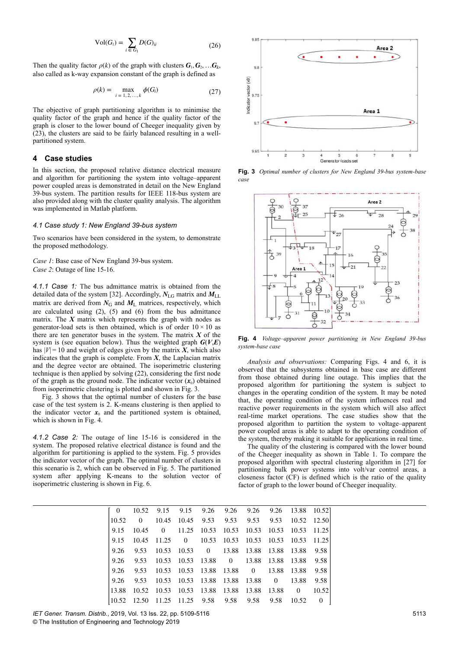$$
Vol(G_{1}) = \sum_{i \in G_{1}} D(G)_{ii}
$$
 (26)

Then the quality factor  $\rho(k)$  of the graph with clusters  $\mathbf{G}_1, \mathbf{G}_2, \dots, \mathbf{G}_k$ also called as k-way expansion constant of the graph is defined as

$$
\rho(k) = \max_{i = 1, 2, ..., k} \phi(G_i)
$$
 (27)

The objective of graph partitioning algorithm is to minimise the quality factor of the graph and hence if the quality factor of the graph is closer to the lower bound of Cheeger inequality given by (23), the clusters are said to be fairly balanced resulting in a wellpartitioned system.

## **4Case studies**

In this section, the proposed relative distance electrical measure and algorithm for partitioning the system into voltage–apparent power coupled areas is demonstrated in detail on the New England 39-bus system. The partition results for IEEE 118-bus system are also provided along with the cluster quality analysis. The algorithm was implemented in Matlab platform.

#### *4.1 Case study 1: New England 39-bus system*

Two scenarios have been considered in the system, to demonstrate the proposed methodology.

*Case 1*: Base case of New England 39-bus system. *Case 2*: Outage of line 15-16.

*4.1.1 Case 1:* The bus admittance matrix is obtained from the detailed data of the system [32]. Accordingly,  $N_{\text{LG}}$  matrix and  $M_{\text{LL}}$ matrix are derived from  $N_G$  and  $M_L$  matrices, respectively, which are calculated using (2), (5) and (6) from the bus admittance matrix. The *X* matrix which represents the graph with nodes as generator-load sets is then obtained, which is of order  $10 \times 10$  as there are ten generator buses in the system. The matrix *X* of the system is (see equation below). Thus the weighted graph  $G(V,E)$ has  $|V| = 10$  and weight of edges given by the matrix *X*, which also indicates that the graph is complete. From  $X$ , the Laplacian matrix and the degree vector are obtained. The isoperimetric clustering technique is then applied by solving (22), considering the first node of the graph as the ground node. The indicator vector  $(x_0)$  obtained from isoperimetric clustering is plotted and shown in Fig. 3.

Fig. 3 shows that the optimal number of clusters for the base case of the test system is 2. K-means clustering is then applied to the indicator vector  $x_0$  and the partitioned system is obtained, which is shown in Fig. 4.

*4.1.2 Case 2:* The outage of line 15-16 is considered in the system. The proposed relative electrical distance is found and the algorithm for partitioning is applied to the system. Fig. 5 provides the indicator vector of the graph. The optimal number of clusters in this scenario is 2, which can be observed in Fig. 5. The partitioned system after applying K-means to the solution vector of isoperimetric clustering is shown in Fig. 6.



**Fig. 3** *Optimal number of clusters for New England 39-bus system-base case*



**Fig. 4** *Voltage–apparent power partitioning in New England 39-bus system-base case*

*Analysis and observations:* Comparing Figs. 4 and 6, it is observed that the subsystems obtained in base case are different from those obtained during line outage. This implies that the proposed algorithm for partitioning the system is subject to changes in the operating condition of the system. It may be noted that, the operating condition of the system influences real and reactive power requirements in the system which will also affect real-time market operations. The case studies show that the proposed algorithm to partition the system to voltage–apparent power coupled areas is able to adapt to the operating condition of the system, thereby making it suitable for applications in real time.

The quality of the clustering is compared with the lower bound of the Cheeger inequality as shown in Table 1. To compare the proposed algorithm with spectral clustering algorithm in [27] for partitioning bulk power systems into volt/var control areas, a closeness factor (CF) is defined which is the ratio of the quality factor of graph to the lower bound of Cheeger inequality.

|  |                  |  | 0 10.52 9.15 9.15 9.26 9.26 9.26 9.26 13.88 10.52                                                                                                      |  |  |
|--|------------------|--|--------------------------------------------------------------------------------------------------------------------------------------------------------|--|--|
|  | $10.52 \qquad 0$ |  | 10.45 10.45 9.53 9.53 9.53 9.53 10.52 12.50                                                                                                            |  |  |
|  |                  |  | 9.15 10.45 0 11.25 10.53 10.53 10.53 10.53 10.53 11.25                                                                                                 |  |  |
|  |                  |  | 9.15 10.45 11.25 0 10.53 10.53 10.53 10.53 10.53 11.25                                                                                                 |  |  |
|  |                  |  | 9.26 9.53 10.53 10.53 0 13.88 13.88 13.88 13.88 9.58                                                                                                   |  |  |
|  |                  |  | 9.26 9.53 10.53 10.53 13.88 0 13.88 13.88 13.88 9.58                                                                                                   |  |  |
|  |                  |  | 9.26 9.53 10.53 10.53 13.88 13.88 0 13.88 13.88 9.58                                                                                                   |  |  |
|  |                  |  | 9.26 9.53 10.53 10.53 13.88 13.88 13.88 0 13.88 9.58                                                                                                   |  |  |
|  |                  |  | 13.88 10.52 10.53 10.53 13.88 13.88 13.88 13.88 0 10.52                                                                                                |  |  |
|  |                  |  | $\begin{array}{ccccccccc} \n\begin{array}{ccccccccc}\n10.52 & 12.50 & 11.25 & 11.25 & 9.58 & 9.58 & 9.58 & 9.58 & 10.52 & 0\n\end{array}\n\end{array}$ |  |  |

*IET Gener. Transm. Distrib.*, 2019, Vol. 13 Iss. 22, pp. 5109-5116

© The Institution of Engineering and Technology 2019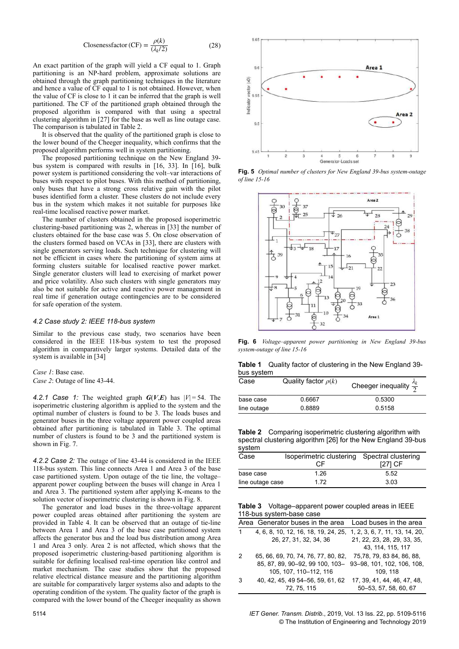Closenessfactor (CF) = 
$$
\frac{\rho(k)}{(\lambda_k/2)}
$$
 (28)

An exact partition of the graph will yield a CF equal to 1. Graph partitioning is an NP-hard problem, approximate solutions are obtained through the graph partitioning techniques in the literature and hence a value of CF equal to 1 is not obtained. However, when the value of CF is close to 1 it can be inferred that the graph is well partitioned. The CF of the partitioned graph obtained through the proposed algorithm is compared with that using a spectral clustering algorithm in [27] for the base as well as line outage case. The comparison is tabulated in Table 2.

It is observed that the quality of the partitioned graph is close to the lower bound of the Cheeger inequality, which confirms that the proposed algorithm performs well in system partitioning.

The proposed partitioning technique on the New England 39 bus system is compared with results in [16, 33]. In [16], bulk power system is partitioned considering the volt–var interactions of buses with respect to pilot buses. With this method of partitioning, only buses that have a strong cross relative gain with the pilot buses identified form a cluster. These clusters do not include every bus in the system which makes it not suitable for purposes like real-time localised reactive power market.

The number of clusters obtained in the proposed isoperimetric clustering-based partitioning was 2, whereas in [33] the number of clusters obtained for the base case was 5. On close observation of the clusters formed based on VCAs in [33], there are clusters with single generators serving loads. Such technique for clustering will not be efficient in cases where the partitioning of system aims at forming clusters suitable for localised reactive power market. Single generator clusters will lead to exercising of market power and price volatility. Also such clusters with single generators may also be not suitable for active and reactive power management in real time if generation outage contingencies are to be considered for safe operation of the system.

#### *4.2 Case study 2: IEEE 118-bus system*

Similar to the previous case study, two scenarios have been considered in the IEEE 118-bus system to test the proposed algorithm in comparatively larger systems. Detailed data of the system is available in [34]

*Case 1*: Base case.

*Case 2*: Outage of line 43-44.

**4.2.1 Case 1:** The weighted graph  $G(V,E)$  has  $|V|=54$ . The isoperimetric clustering algorithm is applied to the system and the optimal number of clusters is found to be 3. The loads buses and generator buses in the three voltage apparent power coupled areas obtained after partitioning is tabulated in Table 3. The optimal number of clusters is found to be 3 and the partitioned system is shown in Fig. 7.

*4.2.2 Case 2:* The outage of line 43-44 is considered in the IEEE 118-bus system. This line connects Area 1 and Area 3 of the base case partitioned system. Upon outage of the tie line, the voltage– apparent power coupling between the buses will change in Area 1 and Area 3. The partitioned system after applying K-means to the solution vector of isoperimetric clustering is shown in Fig. 8.

The generator and load buses in the three-voltage apparent power coupled areas obtained after partitioning the system are provided in Table 4. It can be observed that an outage of tie-line between Area 1 and Area 3 of the base case partitioned system affects the generator bus and the load bus distribution among Area 1 and Area 3 only. Area 2 is not affected, which shows that the proposed isoperimetric clustering-based partitioning algorithm is suitable for defining localised real-time operation like control and market mechanism. The case studies show that the proposed relative electrical distance measure and the partitioning algorithm are suitable for comparatively larger systems also and adapts to the operating condition of the system. The quality factor of the graph is compared with the lower bound of the Cheeger inequality as shown



**Fig. 5** *Optimal number of clusters for New England 39-bus system-outage of line 15-16*



**Fig. 6** *Voltage–apparent power partitioning in New England 39-bus system-outage of line 15-16*

| <b>Table 1</b> Quality factor of clustering in the New England 39- |  |  |  |  |  |
|--------------------------------------------------------------------|--|--|--|--|--|
| bus system                                                         |  |  |  |  |  |

| Case        | Quality factor $\rho(k)$ | Cheeger inequality $\frac{\lambda_k}{2}$ |
|-------------|--------------------------|------------------------------------------|
| base case   | 0.6667                   | 0.5300                                   |
| line outage | 0.8889                   | 0.5158                                   |

**Table 2** Comparing isoperimetric clustering algorithm with spectral clustering algorithm [26] for the New England 39-bus system

| $-$ , $-$        |                                              |         |
|------------------|----------------------------------------------|---------|
| Case             | Isoperimetric clustering Spectral clustering |         |
|                  | СF                                           | [27] CF |
| base case        | 1.26                                         | 5.52    |
| line outage case | 172                                          | 3.03    |

**Table 3** Voltage–apparent power coupled areas in IEEE 118-bus system-base case

|   | Area Generator buses in the area Load buses in the area                                                                                                |                                                      |
|---|--------------------------------------------------------------------------------------------------------------------------------------------------------|------------------------------------------------------|
|   | 4, 6, 8, 10, 12, 16, 18, 19, 24, 25, 1, 2, 3, 6, 7, 11, 13, 14, 20,<br>26, 27, 31, 32, 34, 36                                                          | 21, 22, 23, 28, 29, 33, 35,<br>43. 114. 115. 117     |
| 2 | 65, 66, 69, 70, 74, 76, 77, 80, 82, 75, 78, 79, 83 84, 86, 88,<br>85, 87, 89, 90-92, 99 100, 103- 93-98, 101, 102, 106, 108,<br>105, 107, 110-112, 116 | 109.118                                              |
| 3 | 40, 42, 45, 49 54-56, 59, 61, 62<br>72, 75, 115                                                                                                        | 17, 39, 41, 44, 46, 47, 48,<br>50-53, 57, 58, 60, 67 |

5114 *IET Gener. Transm. Distrib.*, 2019, Vol. 13 Iss. 22, pp. 5109-5116 © The Institution of Engineering and Technology 2019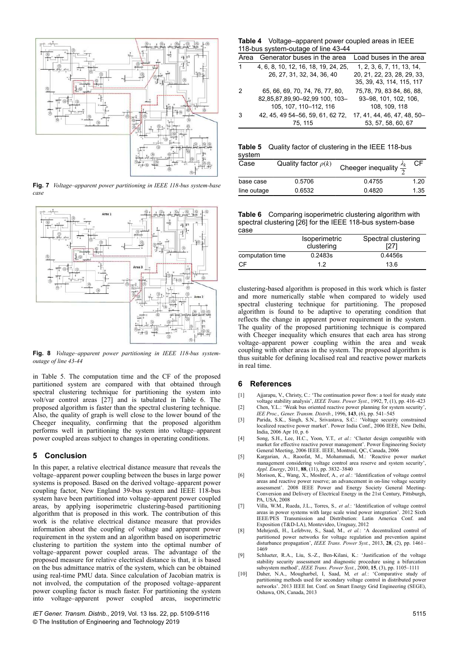

**Fig. 7** *Voltage–apparent power partitioning in IEEE 118-bus system-base case*



**Fig. 8** *Voltage–apparent power partitioning in IEEE 118-bus systemoutage of line 43-44*

in Table 5. The computation time and the CF of the proposed partitioned system are compared with that obtained through spectral clustering technique for partitioning the system into volt/var control areas [27] and is tabulated in Table 6. The proposed algorithm is faster than the spectral clustering technique. Also, the quality of graph is well close to the lower bound of the Cheeger inequality, confirming that the proposed algorithm performs well in partitioning the system into voltage–apparent power coupled areas subject to changes in operating conditions.

## **5** Conclusion

In this paper, a relative electrical distance measure that reveals the voltage–apparent power coupling between the buses in large power systems is proposed. Based on the derived voltage–apparent power coupling factor, New England 39-bus system and IEEE 118-bus system have been partitioned into voltage–apparent power coupled areas, by applying isoperimetric clustering-based partitioning algorithm that is proposed in this work. The contribution of this work is the relative electrical distance measure that provides information about the coupling of voltage and apparent power requirement in the system and an algorithm based on isoperimetric clustering to partition the system into the optimal number of voltage–apparent power coupled areas. The advantage of the proposed measure for relative electrical distance is that, it is based on the bus admittance matrix of the system, which can be obtained using real-time PMU data. Since calculation of Jacobian matrix is not involved, the computation of the proposed voltage–apparent power coupling factor is much faster. For partitioning the system into voltage–apparent power coupled areas, isoperimetric

*IET Gener. Transm. Distrib.*, 2019, Vol. 13 Iss. 22, pp. 5109-5116 © The Institution of Engineering and Technology 2019

**Table 4** Voltage–apparent power coupled areas in IEEE 118-bus system-outage of line 43-44

|   | Area Generator buses in the area                                                            | Load buses in the area                                                                 |  |  |  |  |
|---|---------------------------------------------------------------------------------------------|----------------------------------------------------------------------------------------|--|--|--|--|
| 1 | 4, 6, 8, 10, 12, 16, 18, 19, 24, 25,<br>26, 27, 31, 32, 34, 36, 40                          | 1, 2, 3, 6, 7, 11, 13, 14,<br>20, 21, 22, 23, 28, 29, 33,<br>35, 39, 43, 114, 115, 117 |  |  |  |  |
| 2 | 65. 66. 69. 70. 74. 76. 77. 80.<br>82.85.87.89.90-92.99 100. 103-<br>105, 107, 110-112, 116 | 75.78.79.8384.86.88.<br>93-98, 101, 102, 106,<br>108, 109, 118                         |  |  |  |  |
| 3 | 42, 45, 49 54 - 56, 59, 61, 62 72,<br>75, 115                                               | 17, 41, 44, 46, 47, 48, 50-<br>53, 57, 58, 60, 67                                      |  |  |  |  |

**Table 5** Quality factor of clustering in the IEEE 118-bus system

| Case        | Quality factor $\rho(k)$ | Cheeger inequality $\frac{\lambda_k}{2}$ |      |
|-------------|--------------------------|------------------------------------------|------|
| base case   | 0.5706                   | 0.4755                                   | 1.20 |
| line outage | 0.6532                   | 0.4820                                   | 1.35 |

**Table 6** Comparing isoperimetric clustering algorithm with spectral clustering [26] for the IEEE 118-bus system-base case

| ----             | <b>Isoperimetric</b><br>clustering | Spectral clustering<br>[27] |
|------------------|------------------------------------|-----------------------------|
| computation time | 0.2483s                            | 0.4456s                     |
| CF.              | 12                                 | 136                         |

clustering-based algorithm is proposed in this work which is faster and more numerically stable when compared to widely used spectral clustering technique for partitioning. The proposed algorithm is found to be adaptive to operating condition that reflects the change in apparent power requirement in the system. The quality of the proposed partitioning technique is compared with Cheeger inequality which ensures that each area has strong voltage–apparent power coupling within the area and weak coupling with other areas in the system. The proposed algorithm is thus suitable for defining localised real and reactive power markets in real time.

## **6References**

- [1] Ajjarapu, V., Christy, C.: 'The continuation power flow: a tool for steady state voltage stability analysis', *IEEE Trans. Power Syst.*, 1992, **7**, (1), pp. 416–423
- [2] Chen, Y.L.: 'Weak bus oriented reactive power planning for system security', *IEE Proc., Gener. Transm. Distrib.*, 1996, **143**, (6), pp. 541–545
- [3] Parida, S.K., Singh, S.N., Srivastava, S.C.: 'Voltage security constrained localized reactive power market'. Power India Conf., 2006 IEEE, New Delhi, India, 2006 Apr 10, p. 6
- [4] Song, S.H., Lee, H.C., Yoon, Y.T.*, et al.*: 'Cluster design compatible with market for effective reactive power management'. Power Engineering Society General Meeting, 2006 IEEE. IEEE, Montreal, QC, Canada, 2006
- [5] Kargarian, A., Raoofat, M., Mohammadi, M.: 'Reactive power market management considering voltage control area reserve and system security', *Appl. Energy*, 2011, **88**, (11), pp. 3832–3840
- [6] Morison, K., Wang, X., Moshref, A.*, et al.*: 'Identification of voltage control areas and reactive power reserve; an advancement in on-line voltage security assessment'. 2008 IEEE Power and Energy Society General Meeting-Conversion and Delivery of Electrical Energy in the 21st Century, Pittsburgh, PA, USA, 2008
- [7] Villa, W.M., Rueda, J.L., Torres, S.*, et al.*: 'Identification of voltage control areas in power systems with large scale wind power integration'. 2012 Sixth IEEE/PES Transmission and Distribution: Latin America Conf. and Exposition (T&D-LA), Montevideo, Uruguay, 2012
- [8] Mehrjerdi, H., Lefebvre, S., Saad, M.*, et al.*: 'A decentralized control of partitioned power networks for voltage regulation and prevention against disturbance propagation', *IEEE Trans. Power Syst.*, 2013, **28**, (2), pp. 1461– 1469
- [9] Schlueter, R.A., Liu, S.-Z., Ben-Kilani, K.: 'Justification of the voltage stability security assessment and diagnostic procedure using a bifurcation subsystem method', *IEEE Trans. Power Syst.*, 2000, **15**, (3), pp. 1105–1111
- [10] Daher, N.A., Mougharbel, I, Saad, M*, et al.*: 'Comparative study of partitioning methods used for secondary voltage control in distributed power networks'. 2013 IEEE Int. Conf. on Smart Energy Grid Engineering (SEGE), Oshawa, ON, Canada, 2013